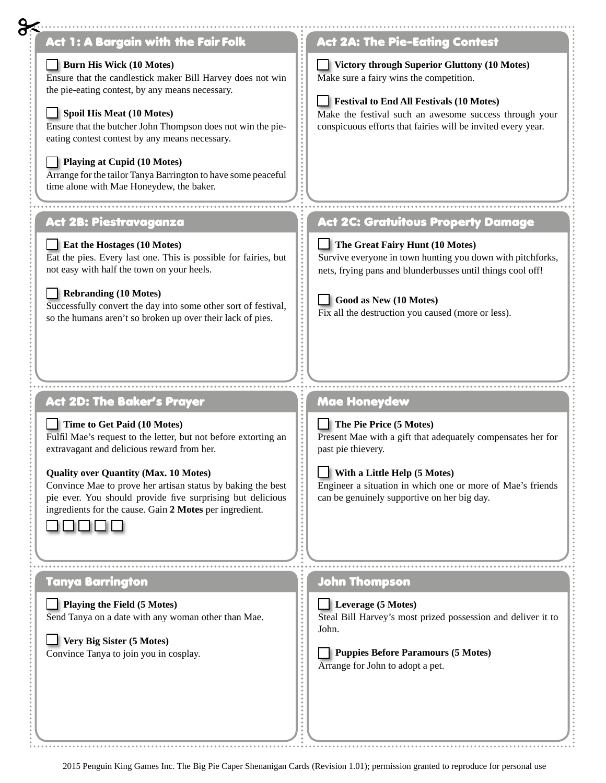| <b>Act 1: A Bargain with the Fair Folk</b>                                                                                                                                                                                                                                                                                                                                                                                                               | <b>Act 2A: The Pie-Eating Contest</b>                                                                                                                                                                                                                                       |
|----------------------------------------------------------------------------------------------------------------------------------------------------------------------------------------------------------------------------------------------------------------------------------------------------------------------------------------------------------------------------------------------------------------------------------------------------------|-----------------------------------------------------------------------------------------------------------------------------------------------------------------------------------------------------------------------------------------------------------------------------|
| <b>Burn His Wick (10 Motes)</b><br>Ensure that the candlestick maker Bill Harvey does not win<br>the pie-eating contest, by any means necessary.<br><b>Spoil His Meat (10 Motes)</b><br>Ensure that the butcher John Thompson does not win the pie-<br>eating contest contest by any means necessary.<br><b>Playing at Cupid (10 Motes)</b><br>Arrange for the tailor Tanya Barrington to have some peaceful<br>time alone with Mae Honeydew, the baker. | <b>Victory through Superior Gluttony (10 Motes)</b><br>Make sure a fairy wins the competition.<br><b>Festival to End All Festivals (10 Motes)</b><br>Make the festival such an awesome success through your<br>conspicuous efforts that fairies will be invited every year. |
| <b>Act 2B: Piestravaganza</b>                                                                                                                                                                                                                                                                                                                                                                                                                            | <b>Act 2C: Gratuitous Property Damage</b>                                                                                                                                                                                                                                   |
| Eat the Hostages (10 Motes)<br>Eat the pies. Every last one. This is possible for fairies, but<br>not easy with half the town on your heels.<br><b>Rebranding (10 Motes)</b><br>Successfully convert the day into some other sort of festival,<br>so the humans aren't so broken up over their lack of pies.                                                                                                                                             | $\Box$ The Great Fairy Hunt (10 Motes)<br>Survive everyone in town hunting you down with pitchforks,<br>nets, frying pans and blunderbusses until things cool off!<br>Good as New (10 Motes)<br>Fix all the destruction you caused (more or less).                          |
| <b>Act 2D: The Baker's Prayer</b>                                                                                                                                                                                                                                                                                                                                                                                                                        | Mae Honeydew                                                                                                                                                                                                                                                                |
| Time to Get Paid (10 Motes)                                                                                                                                                                                                                                                                                                                                                                                                                              | $\Box$ The Pie Price (5 Motes)                                                                                                                                                                                                                                              |
| Fulfil Mae's request to the letter, but not before extorting an                                                                                                                                                                                                                                                                                                                                                                                          |                                                                                                                                                                                                                                                                             |
| extravagant and delicious reward from her.                                                                                                                                                                                                                                                                                                                                                                                                               | Present Mae with a gift that adequately compensates her for<br>past pie thievery.                                                                                                                                                                                           |
| <b>Quality over Quantity (Max. 10 Motes)</b><br>Convince Mae to prove her artisan status by baking the best<br>pie ever. You should provide five surprising but delicious<br>ingredients for the cause. Gain 2 Motes per ingredient.                                                                                                                                                                                                                     | With a Little Help (5 Motes)<br>Engineer a situation in which one or more of Mae's friends<br>can be genuinely supportive on her big day.                                                                                                                                   |
| Tanya Barrington                                                                                                                                                                                                                                                                                                                                                                                                                                         | $\frac{1}{2}$<br><b>John Thompson</b>                                                                                                                                                                                                                                       |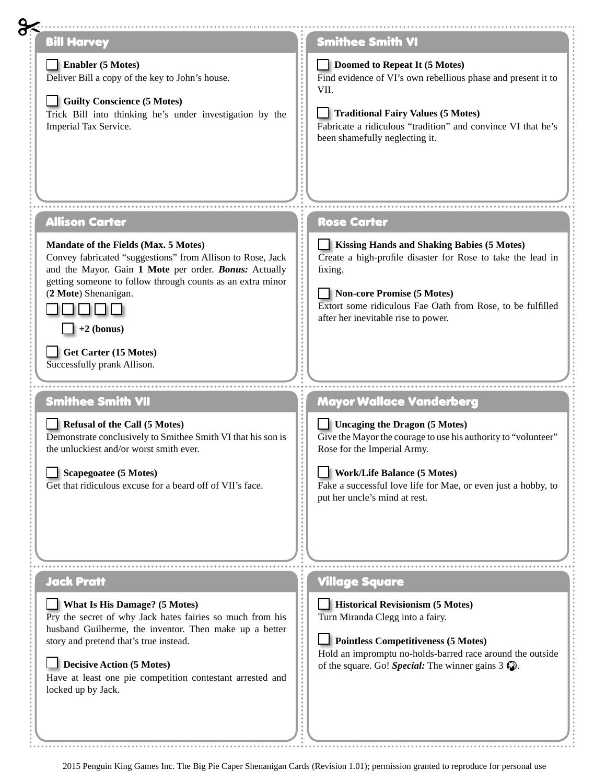| <b>Bill Harvey</b>                                                                                                                                                                                                                                                                                                                            | <b>Smithee Smith VI</b>                                                                                                                                                                                                                                                           |
|-----------------------------------------------------------------------------------------------------------------------------------------------------------------------------------------------------------------------------------------------------------------------------------------------------------------------------------------------|-----------------------------------------------------------------------------------------------------------------------------------------------------------------------------------------------------------------------------------------------------------------------------------|
| <b>Enabler (5 Motes)</b><br>Deliver Bill a copy of the key to John's house.<br><b>Guilty Conscience (5 Motes)</b><br>Trick Bill into thinking he's under investigation by the<br>Imperial Tax Service.                                                                                                                                        | Doomed to Repeat It (5 Motes)<br>Find evidence of VI's own rebellious phase and present it to<br>VII.<br><br><b>Traditional Fairy Values (5 Motes)</b><br>Fabricate a ridiculous "tradition" and convince VI that he's<br>been shamefully neglecting it.                          |
| <b>Allison Carter</b>                                                                                                                                                                                                                                                                                                                         | <b>Rose Carter</b>                                                                                                                                                                                                                                                                |
| <b>Mandate of the Fields (Max. 5 Motes)</b><br>Convey fabricated "suggestions" from Allison to Rose, Jack<br>and the Mayor. Gain 1 Mote per order. Bonus: Actually<br>getting someone to follow through counts as an extra minor<br>(2 Mote) Shenanigan.<br>$\vert$ +2 (bonus)<br><b>Get Carter (15 Motes)</b><br>Successfully prank Allison. | Kissing Hands and Shaking Babies (5 Motes)<br><br>Create a high-profile disaster for Rose to take the lead in<br>fixing.<br>Non-core Promise (5 Motes)<br>Extort some ridiculous Fae Oath from Rose, to be fulfilled<br>after her inevitable rise to power.                       |
| <b>Smithee Smith VII</b>                                                                                                                                                                                                                                                                                                                      | <b>Mayor Wallace Vanderberg</b>                                                                                                                                                                                                                                                   |
| <b>Refusal of the Call (5 Motes)</b><br>Demonstrate conclusively to Smithee Smith VI that his son is<br>the unluckiest and/or worst smith ever.<br><b>Scapegoatee (5 Motes)</b><br>Get that ridiculous excuse for a beard off of VII's face.                                                                                                  | $\Box$ Uncaging the Dragon (5 Motes)<br><br>Give the Mayor the courage to use his authority to "volunteer"<br>Rose for the Imperial Army.<br><b>Work/Life Balance (5 Motes)</b><br>Fake a successful love life for Mae, or even just a hobby, to<br>put her uncle's mind at rest. |
| <b>Jack Pratt</b>                                                                                                                                                                                                                                                                                                                             | <b>Village Square</b>                                                                                                                                                                                                                                                             |
| <b>What Is His Damage? (5 Motes)</b><br>Pry the secret of why Jack hates fairies so much from his<br>husband Guilherme, the inventor. Then make up a better<br>story and pretend that's true instead.<br><b>Decisive Action (5 Motes)</b><br>Have at least one pie competition contestant arrested and<br>locked up by Jack.                  | <br>  Historical Revisionism (5 Motes)<br>Turn Miranda Clegg into a fairy.<br>---------<br><b>Pointless Competitiveness (5 Motes)</b><br>Hold an impromptu no-holds-barred race around the outside<br>of the square. Go! Special: The winner gains $3 \, \Omega$ .                |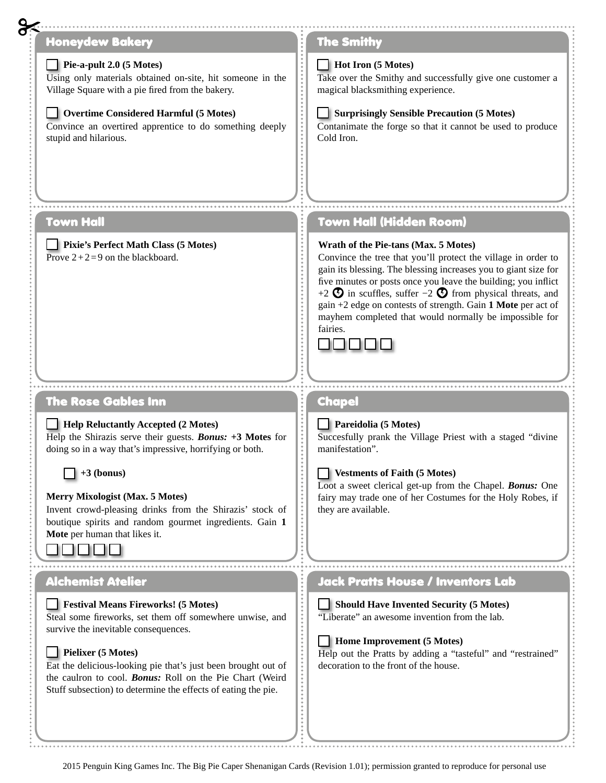| <b>Honeydew Bakery</b>                                                                                                                                                                                                                                                                                                                                                                                       | <b>The Smithy</b>                                                                                                                                                                                                                                                                                                                                                                                                                                            |
|--------------------------------------------------------------------------------------------------------------------------------------------------------------------------------------------------------------------------------------------------------------------------------------------------------------------------------------------------------------------------------------------------------------|--------------------------------------------------------------------------------------------------------------------------------------------------------------------------------------------------------------------------------------------------------------------------------------------------------------------------------------------------------------------------------------------------------------------------------------------------------------|
| $\blacksquare$ Pie-a-pult 2.0 (5 Motes)<br>Using only materials obtained on-site, hit someone in the<br>Village Square with a pie fired from the bakery.<br>Overtime Considered Harmful (5 Motes)<br>Convince an overtired apprentice to do something deeply<br>stupid and hilarious.                                                                                                                        | Hot Iron (5 Motes)<br>Take over the Smithy and successfully give one customer a<br>magical blacksmithing experience.<br><b>Surprisingly Sensible Precaution (5 Motes)</b><br>Contanimate the forge so that it cannot be used to produce<br>Cold Iron.                                                                                                                                                                                                        |
| <b>Town Hall</b>                                                                                                                                                                                                                                                                                                                                                                                             | <b>Town Hall (Hidden Room)</b>                                                                                                                                                                                                                                                                                                                                                                                                                               |
| Pixie's Perfect Math Class (5 Motes)<br>Prove $2+2=9$ on the blackboard.                                                                                                                                                                                                                                                                                                                                     | Wrath of the Pie-tans (Max. 5 Motes)<br>Convince the tree that you'll protect the village in order to<br>gain its blessing. The blessing increases you to giant size for<br>five minutes or posts once you leave the building; you inflict<br>+2 $\bullet$ in scuffles, suffer -2 $\bullet$ from physical threats, and<br>gain +2 edge on contests of strength. Gain 1 Mote per act of<br>mayhem completed that would normally be impossible for<br>fairies. |
|                                                                                                                                                                                                                                                                                                                                                                                                              |                                                                                                                                                                                                                                                                                                                                                                                                                                                              |
| The Rose Gables Inn<br>$\Box$ Help Reluctantly Accepted (2 Motes)<br>Help the Shirazis serve their guests. Bonus: +3 Motes for<br>doing so in a way that's impressive, horrifying or both.<br>$+3$ (bonus)<br><b>Merry Mixologist (Max. 5 Motes)</b><br>Invent crowd-pleasing drinks from the Shirazis' stock of<br>boutique spirits and random gourmet ingredients. Gain 1<br>Mote per human that likes it. | <b>Chapel</b><br>Pareidolia (5 Motes)<br>Succesfully prank the Village Priest with a staged "divine<br>manifestation".<br><b>Vestments of Faith (5 Motes)</b><br>Loot a sweet clerical get-up from the Chapel. Bonus: One<br>fairy may trade one of her Costumes for the Holy Robes, if<br>they are available.                                                                                                                                               |
| .                                                                                                                                                                                                                                                                                                                                                                                                            |                                                                                                                                                                                                                                                                                                                                                                                                                                                              |
| <b>Alchemist Atelier</b>                                                                                                                                                                                                                                                                                                                                                                                     | <b>Jack Pratts House / Inventors Lab</b>                                                                                                                                                                                                                                                                                                                                                                                                                     |
| Festival Means Fireworks! (5 Motes)                                                                                                                                                                                                                                                                                                                                                                          | <b>Should Have Invented Security (5 Motes)</b><br>"Liberate" an awesome invention from the lab.                                                                                                                                                                                                                                                                                                                                                              |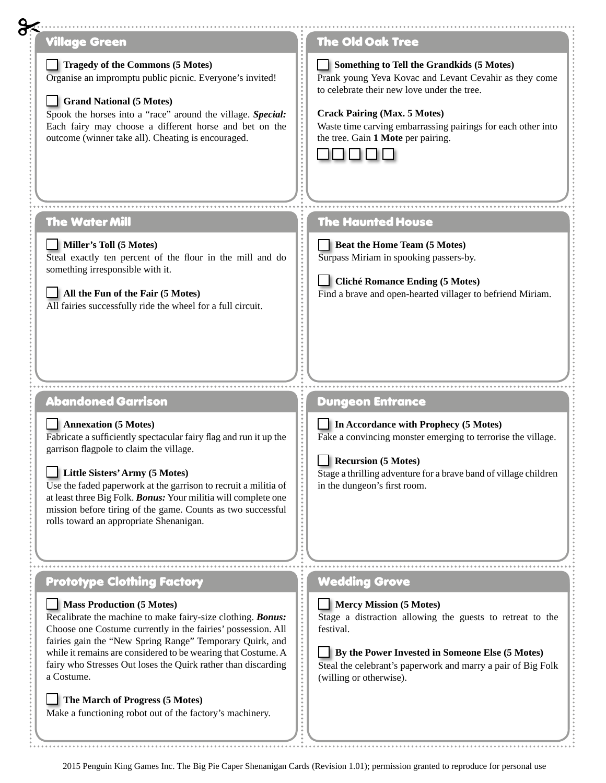## Village Green The Old Oak Tree **Tragedy of the Commons (5 Motes) Something to Tell the Grandkids (5 Motes)** Organise an impromptu public picnic. Everyone's invited! Prank young Yeva Kovac and Levant Cevahir as they come to celebrate their new love under the tree. **Grand National (5 Motes)** Spook the horses into a "race" around the village. *Special:*  **Crack Pairing (Max. 5 Motes)** Waste time carving embarrassing pairings for each other into Each fairy may choose a different horse and bet on the outcome (winner take all). Cheating is encouraged. the tree. Gain **1 Mote** per pairing. 00000 The Water Mill The Haunted House **Miller's Toll (5 Motes) Beat the Home Team (5 Motes)** Steal exactly ten percent of the flour in the mill and do Surpass Miriam in spooking passers-by. something irresponsible with it. **Cliché Romance Ending (5 Motes) All the Fun of the Fair (5 Motes)** Find a brave and open-hearted villager to befriend Miriam. All fairies successfully ride the wheel for a full circuit. Abandoned Garrison Dungeon Entrance **In Accordance with Prophecy (5 Motes) Annexation (5 Motes)** Fabricate a sufficiently spectacular fairy flag and run it up the Fake a convincing monster emerging to terrorise the village. garrison flagpole to claim the village. **Recursion (5 Motes) Little Sisters' Army (5 Motes)** Stage a thrilling adventure for a brave band of village children Use the faded paperwork at the garrison to recruit a militia of in the dungeon's first room. at least three Big Folk. *Bonus:* Your militia will complete one mission before tiring of the game. Counts as two successful rolls toward an appropriate Shenanigan.Prototype Clothing Factory Wedding Grove **Mass Production (5 Motes) Mercy Mission (5 Motes)** Recalibrate the machine to make fairy-size clothing. *Bonus:*  Stage a distraction allowing the guests to retreat to the Choose one Costume currently in the fairies' possession. All festival. fairies gain the "New Spring Range" Temporary Quirk, and while it remains are considered to be wearing that Costume. A **By the Power Invested in Someone Else (5 Motes)** fairy who Stresses Out loses the Quirk rather than discarding Steal the celebrant's paperwork and marry a pair of Big Folk a Costume. (willing or otherwise). **The March of Progress (5 Motes)** Make a functioning robot out of the factory's machinery.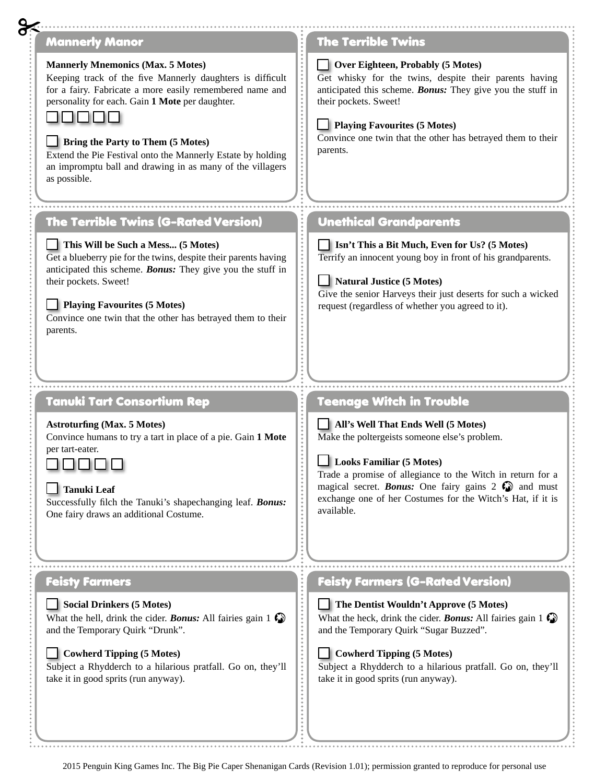| <b>Mannerly Manor</b>                                                                                                                                                                                                                                                                                                                                                                                        | <b>The Terrible Twins</b>                                                                                                                                                                                                                                                                                                                  |
|--------------------------------------------------------------------------------------------------------------------------------------------------------------------------------------------------------------------------------------------------------------------------------------------------------------------------------------------------------------------------------------------------------------|--------------------------------------------------------------------------------------------------------------------------------------------------------------------------------------------------------------------------------------------------------------------------------------------------------------------------------------------|
| <b>Mannerly Mnemonics (Max. 5 Motes)</b><br>Keeping track of the five Mannerly daughters is difficult<br>for a fairy. Fabricate a more easily remembered name and<br>personality for each. Gain 1 Mote per daughter.<br><b>Bring the Party to Them (5 Motes)</b><br>Extend the Pie Festival onto the Mannerly Estate by holding<br>an impromptu ball and drawing in as many of the villagers<br>as possible. | <b>Over Eighteen, Probably (5 Motes)</b><br>Get whisky for the twins, despite their parents having<br>anticipated this scheme. Bonus: They give you the stuff in<br>their pockets. Sweet!<br>Playing Favourites (5 Motes)<br>Convince one twin that the other has betrayed them to their<br>parents.                                       |
| <b>The Terrible Twins (G-Rated Version)</b>                                                                                                                                                                                                                                                                                                                                                                  | <b>Unethical Grandparents</b>                                                                                                                                                                                                                                                                                                              |
| This Will be Such a Mess (5 Motes)<br>Get a blueberry pie for the twins, despite their parents having<br>anticipated this scheme. Bonus: They give you the stuff in<br>their pockets. Sweet!                                                                                                                                                                                                                 | <b>Isn't This a Bit Much, Even for Us? (5 Motes)</b><br>Terrify an innocent young boy in front of his grandparents.<br>Natural Justice (5 Motes)<br>Give the senior Harveys their just deserts for such a wicked                                                                                                                           |
| Playing Favourites (5 Motes)<br>Convince one twin that the other has betrayed them to their<br>parents.                                                                                                                                                                                                                                                                                                      | request (regardless of whether you agreed to it).                                                                                                                                                                                                                                                                                          |
| Tanuki Tart Consortium Rep                                                                                                                                                                                                                                                                                                                                                                                   | <b>Teenage Witch in Trouble</b>                                                                                                                                                                                                                                                                                                            |
| <b>Astroturfing (Max. 5 Motes)</b><br>Convince humans to try a tart in place of a pie. Gain 1 Mote<br>per tart-eater.<br>0000<br><b>Tanuki Leaf</b><br>Successfully filch the Tanuki's shapechanging leaf. Bonus:<br>One fairy draws an additional Costume.                                                                                                                                                  | $\Box$ All's Well That Ends Well (5 Motes)<br>Make the poltergeists someone else's problem.<br>Looks Familiar (5 Motes)<br>Trade a promise of allegiance to the Witch in return for a<br>magical secret. <b>Bonus:</b> One fairy gains $2 \bigotimes$ and must<br>exchange one of her Costumes for the Witch's Hat, if it is<br>available. |
| <b>Feisty Farmers</b>                                                                                                                                                                                                                                                                                                                                                                                        | <b>Feisty Farmers (G-Rated Version)</b>                                                                                                                                                                                                                                                                                                    |
|                                                                                                                                                                                                                                                                                                                                                                                                              | The Dentist Wouldn't Approve (5 Motes)                                                                                                                                                                                                                                                                                                     |
| <b>Social Drinkers (5 Motes)</b><br>What the hell, drink the cider. <b>Bonus:</b> All fairies gain $1 \bigcirc$<br>and the Temporary Quirk "Drunk".                                                                                                                                                                                                                                                          | What the heck, drink the cider. Bonus: All fairies gain 1 $\mathbb{C}$<br>and the Temporary Quirk "Sugar Buzzed".                                                                                                                                                                                                                          |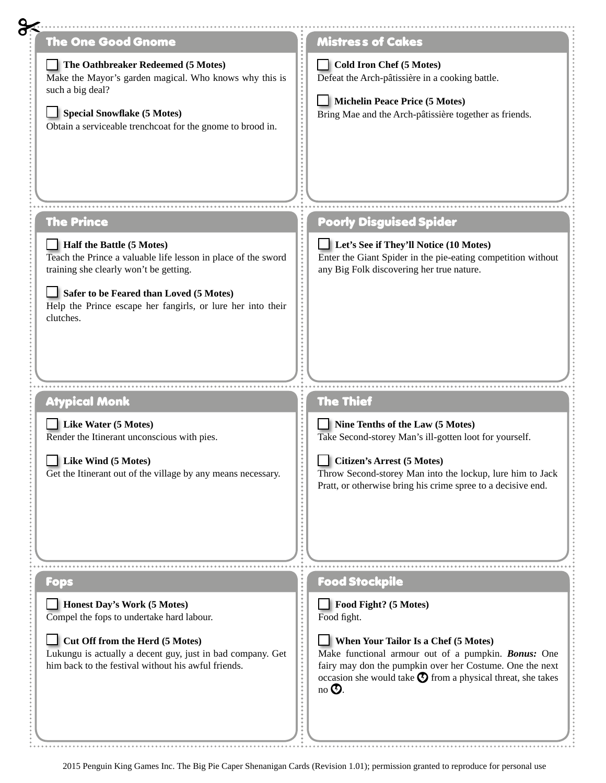| <b>The One Good Gnome</b>                                                                                                                                                                                                                                   | <b>Mistress of Cakes</b>                                                                                                                                                                                                                              |
|-------------------------------------------------------------------------------------------------------------------------------------------------------------------------------------------------------------------------------------------------------------|-------------------------------------------------------------------------------------------------------------------------------------------------------------------------------------------------------------------------------------------------------|
| The Oathbreaker Redeemed (5 Motes)<br>Make the Mayor's garden magical. Who knows why this is<br>such a big deal?<br>Special Snowflake (5 Motes)<br>Obtain a serviceable trenchcoat for the gnome to brood in.                                               | <b>Cold Iron Chef (5 Motes)</b><br>Defeat the Arch-pâtissière in a cooking battle.<br>Michelin Peace Price (5 Motes)<br>Bring Mae and the Arch-pâtissière together as friends.                                                                        |
| <b>The Prince</b>                                                                                                                                                                                                                                           | <b>Poorly Disguised Spider</b>                                                                                                                                                                                                                        |
| Half the Battle (5 Motes)<br>Teach the Prince a valuable life lesson in place of the sword<br>training she clearly won't be getting.<br>Safer to be Feared than Loved (5 Motes)<br>Help the Prince escape her fangirls, or lure her into their<br>clutches. | Let's See if They'll Notice (10 Motes)<br>Enter the Giant Spider in the pie-eating competition without<br>any Big Folk discovering her true nature.                                                                                                   |
| <b>Atypical Monk</b>                                                                                                                                                                                                                                        | <b>The Thief</b>                                                                                                                                                                                                                                      |
| Like Water (5 Motes)<br>Render the Itinerant unconscious with pies.<br>Like Wind (5 Motes)<br>Get the Itinerant out of the village by any means necessary.                                                                                                  | Nine Tenths of the Law (5 Motes)<br>Take Second-storey Man's ill-gotten loot for yourself.<br>Citizen's Arrest (5 Motes)<br>Throw Second-storey Man into the lockup, lure him to Jack<br>Pratt, or otherwise bring his crime spree to a decisive end. |
|                                                                                                                                                                                                                                                             |                                                                                                                                                                                                                                                       |
| <b>Fops</b>                                                                                                                                                                                                                                                 | <b>Food Stockpile</b>                                                                                                                                                                                                                                 |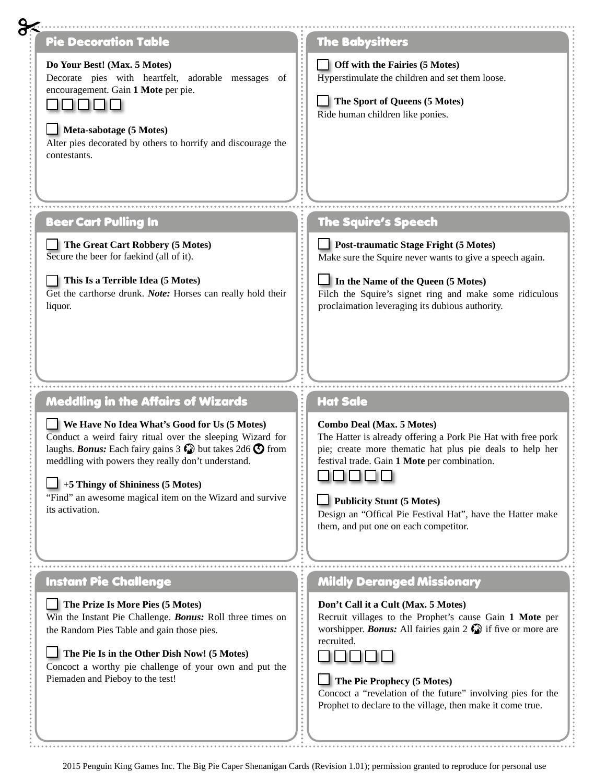| Pie Decoration Table<br>Do Your Best! (Max. 5 Motes)<br>Decorate pies with heartfelt, adorable messages of<br>encouragement. Gain 1 Mote per pie.<br>.<br>$\Box$ Meta-sabotage (5 Motes)<br>Alter pies decorated by others to horrify and discourage the<br>contestants.                                   | <b>The Babysitters</b><br>Off with the Fairies (5 Motes)<br>Hyperstimulate the children and set them loose.<br>The Sport of Queens (5 Motes)<br>Ride human children like ponies.                                                                                                                  |
|------------------------------------------------------------------------------------------------------------------------------------------------------------------------------------------------------------------------------------------------------------------------------------------------------------|---------------------------------------------------------------------------------------------------------------------------------------------------------------------------------------------------------------------------------------------------------------------------------------------------|
| <b>Beer Cart Pulling In</b><br>The Great Cart Robbery (5 Motes)<br>Secure the beer for faekind (all of it).<br>This Is a Terrible Idea (5 Motes)<br>Get the carthorse drunk. Note: Horses can really hold their<br>liquor.                                                                                 | <b>The Squire's Speech</b><br><b>Post-traumatic Stage Fright (5 Motes)</b><br>Make sure the Squire never wants to give a speech again.<br>$\Box$ In the Name of the Queen (5 Motes)<br>Filch the Squire's signet ring and make some ridiculous<br>proclaimation leveraging its dubious authority. |
| <b>Meddling in the Affairs of Wizards</b><br>$\blacksquare$ We Have No Idea What's Good for Us (5 Motes)<br>Conduct a weird fairy ritual over the sleeping Wizard for<br>laughs. <b>Bonus:</b> Each fairy gains 3 $\odot$ but takes 2d6 $\odot$ from<br>meddling with powers they really don't understand. | <b>Hat Sale</b><br><b>Combo Deal (Max. 5 Motes)</b><br>The Hatter is already offering a Pork Pie Hat with free pork<br>pie; create more thematic hat plus pie deals to help her                                                                                                                   |
| $\Box$ +5 Thingy of Shininess (5 Motes)<br>"Find" an awesome magical item on the Wizard and survive<br>its activation.                                                                                                                                                                                     | festival trade. Gain 1 Mote per combination.<br><b>Publicity Stunt (5 Motes)</b><br>Design an "Offical Pie Festival Hat", have the Hatter make<br>them, and put one on each competitor.                                                                                                           |